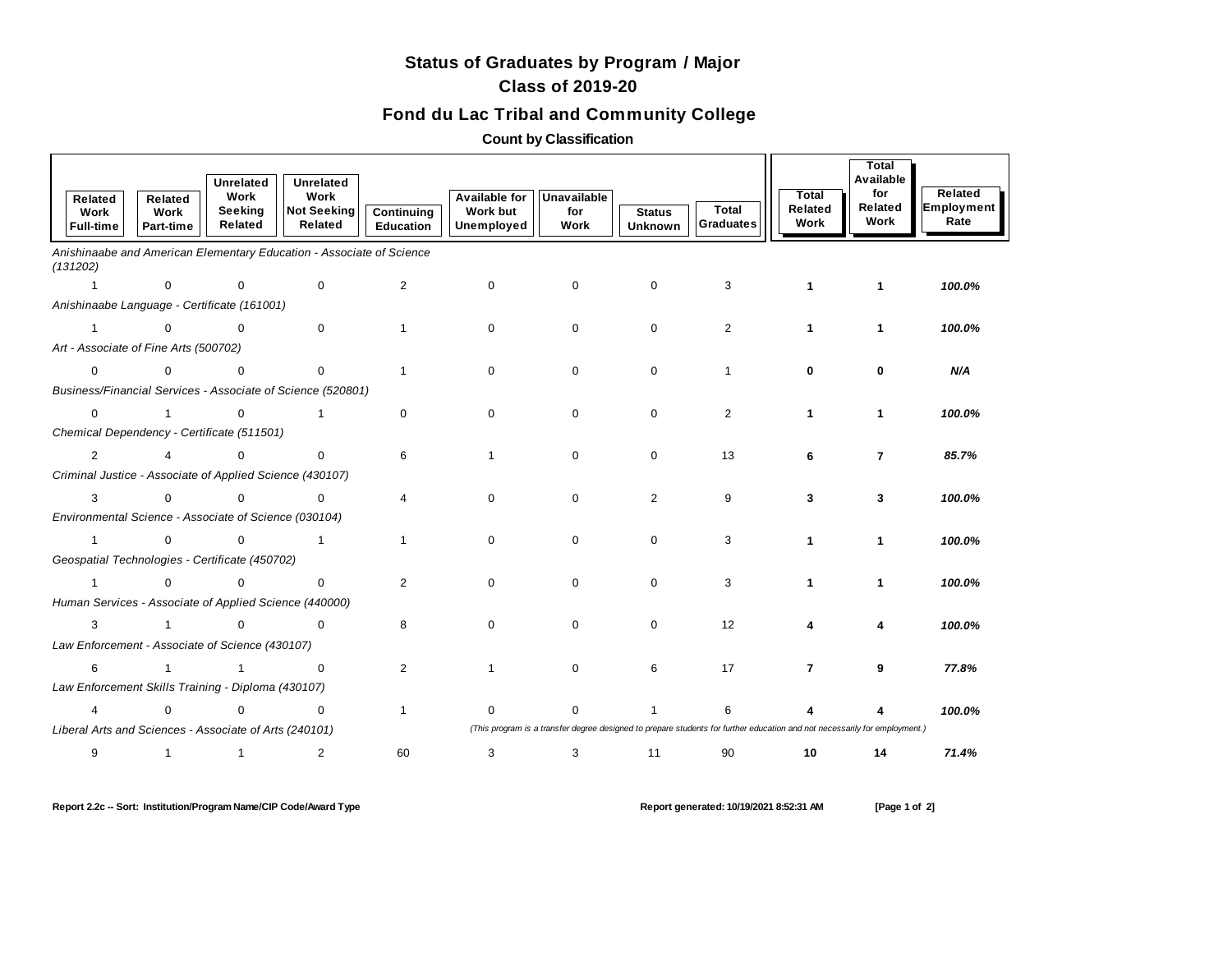## **Status of Graduates by Program / Major Class of 2019-20**

## **Fond du Lac Tribal and Community College**

**Count by Classification**

|                                                             | Related<br>Work<br><b>Full-time</b>                      | Related<br>Work<br>Part-time | <b>Unrelated</b><br>Work<br>Seeking<br>Related | Unrelated<br>Work<br><b>Not Seeking</b><br>Related                   | Continuing<br>Education | <b>Available for</b><br><b>Work but</b><br>Unemployed | <b>Unavailable</b><br>for<br>Work                                                                                          | <b>Status</b><br><b>Unknown</b> | <b>Total</b><br><b>Graduates</b> | <b>Total</b><br>Related<br>Work | Total<br>Available<br>for<br>Related<br>Work | Related<br>Employment<br>Rate |
|-------------------------------------------------------------|----------------------------------------------------------|------------------------------|------------------------------------------------|----------------------------------------------------------------------|-------------------------|-------------------------------------------------------|----------------------------------------------------------------------------------------------------------------------------|---------------------------------|----------------------------------|---------------------------------|----------------------------------------------|-------------------------------|
|                                                             | (131202)                                                 |                              |                                                | Anishinaabe and American Elementary Education - Associate of Science |                         |                                                       |                                                                                                                            |                                 |                                  |                                 |                                              |                               |
|                                                             | $\mathbf{1}$                                             | $\mathbf 0$                  | $\mathbf 0$                                    | $\mathbf 0$                                                          | 2                       | $\mathbf 0$                                           | 0                                                                                                                          | 0                               | 3                                | 1                               | $\mathbf{1}$                                 | 100.0%                        |
| Anishinaabe Language - Certificate (161001)                 |                                                          |                              |                                                |                                                                      |                         |                                                       |                                                                                                                            |                                 |                                  |                                 |                                              |                               |
|                                                             | $\mathbf{1}$                                             | $\Omega$                     | $\mathbf 0$                                    | $\Omega$                                                             |                         | $\Omega$                                              | $\mathbf 0$                                                                                                                | $\mathbf 0$                     | $\overline{2}$                   | 1                               | 1                                            | 100.0%                        |
|                                                             | Art - Associate of Fine Arts (500702)                    |                              |                                                |                                                                      |                         |                                                       |                                                                                                                            |                                 |                                  |                                 |                                              |                               |
|                                                             | 0                                                        | $\mathbf 0$                  | $\mathbf 0$                                    | $\mathbf 0$                                                          |                         | 0                                                     | $\mathbf 0$                                                                                                                | $\mathbf 0$                     | $\mathbf{1}$                     | 0                               | $\bf{0}$                                     | N/A                           |
| Business/Financial Services - Associate of Science (520801) |                                                          |                              |                                                |                                                                      |                         |                                                       |                                                                                                                            |                                 |                                  |                                 |                                              |                               |
|                                                             | $\mathbf 0$                                              | $\mathbf{1}$                 | $\mathbf 0$                                    | $\mathbf{1}$                                                         | $\mathbf 0$             | $\mathbf 0$                                           | $\mathbf 0$                                                                                                                | $\mathbf 0$                     | $\overline{2}$                   | 1                               | 1                                            | 100.0%                        |
|                                                             | Chemical Dependency - Certificate (511501)               |                              |                                                |                                                                      |                         |                                                       |                                                                                                                            |                                 |                                  |                                 |                                              |                               |
|                                                             | 2                                                        | 4                            | $\Omega$                                       | $\mathbf 0$                                                          | 6                       |                                                       | $\mathbf 0$                                                                                                                | $\mathbf 0$                     | 13                               | 6                               | $\overline{7}$                               | 85.7%                         |
|                                                             | Criminal Justice - Associate of Applied Science (430107) |                              |                                                |                                                                      |                         |                                                       |                                                                                                                            |                                 |                                  |                                 |                                              |                               |
|                                                             | 3                                                        | $\Omega$                     | $\Omega$                                       | $\Omega$                                                             | 4                       | $\Omega$                                              | $\Omega$                                                                                                                   | $\overline{2}$                  | 9                                | 3                               | 3                                            | 100.0%                        |
|                                                             | Environmental Science - Associate of Science (030104)    |                              |                                                |                                                                      |                         |                                                       |                                                                                                                            |                                 |                                  |                                 |                                              |                               |
|                                                             | $\mathbf{1}$                                             | $\mathbf 0$                  | $\mathbf 0$                                    | $\mathbf{1}$                                                         | $\mathbf{1}$            | $\Omega$                                              | $\mathbf 0$                                                                                                                | $\mathbf 0$                     | 3                                |                                 | 1                                            | 100.0%                        |
|                                                             | Geospatial Technologies - Certificate (450702)           |                              |                                                |                                                                      |                         |                                                       |                                                                                                                            |                                 |                                  |                                 |                                              |                               |
|                                                             | $\mathbf{1}$                                             | $\mathbf 0$                  | $\mathbf 0$                                    | $\mathbf 0$                                                          | 2                       | $\mathbf 0$                                           | $\mathbf{0}$                                                                                                               | $\mathbf 0$                     | 3                                | 1                               | $\mathbf{1}$                                 | 100.0%                        |
|                                                             | Human Services - Associate of Applied Science (440000)   |                              |                                                |                                                                      |                         |                                                       |                                                                                                                            |                                 |                                  |                                 |                                              |                               |
|                                                             | 3                                                        | $\mathbf{1}$                 | $\mathbf 0$                                    | $\Omega$                                                             | 8                       | $\Omega$                                              | $\mathbf 0$                                                                                                                | $\mathbf 0$                     | 12                               |                                 | 4                                            | 100.0%                        |
|                                                             | Law Enforcement - Associate of Science (430107)          |                              |                                                |                                                                      |                         |                                                       |                                                                                                                            |                                 |                                  |                                 |                                              |                               |
|                                                             | 6                                                        | $\mathbf{1}$                 | $\mathbf{1}$                                   | $\mathbf 0$                                                          | $\overline{2}$          |                                                       | $\mathbf 0$                                                                                                                | 6                               | 17                               | $\overline{7}$                  | 9                                            | 77.8%                         |
|                                                             | Law Enforcement Skills Training - Diploma (430107)       |                              |                                                |                                                                      |                         |                                                       |                                                                                                                            |                                 |                                  |                                 |                                              |                               |
|                                                             | 4                                                        | $\mathbf 0$                  | $\Omega$                                       | $\mathbf 0$                                                          | $\mathbf{1}$            | 0                                                     | $\Omega$                                                                                                                   | 1                               | 6                                |                                 |                                              | 100.0%                        |
|                                                             | Liberal Arts and Sciences - Associate of Arts (240101)   |                              |                                                |                                                                      |                         |                                                       | (This program is a transfer degree designed to prepare students for further education and not necessarily for employment.) |                                 |                                  |                                 |                                              |                               |
|                                                             | 9                                                        | $\mathbf{1}$                 | $\overline{1}$                                 | 2                                                                    | 60                      | 3                                                     | 3                                                                                                                          | 11                              | 90                               | 10                              | 14                                           | 71.4%                         |

**Report 2.2c -- Sort: Institution/Program Name/CIP Code/Award Type Report generated: 10/19/2021 8:52:31 AM [Page 1 of 2]**